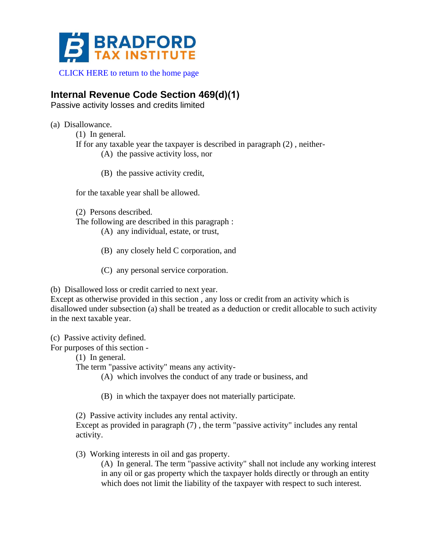

[CLICK HERE to return to the home page](http://www.bradfordtaxinstitute.com)

## **Internal Revenue Code Section 469(d)(1)**

Passive activity losses and credits limited

(a) Disallowance.

(1) In general.

If for any taxable year the taxpayer is described in paragraph (2) , neither-

- (A) the passive activity loss, nor
- (B) the passive activity credit,

for the taxable year shall be allowed.

(2) Persons described.

The following are described in this paragraph :

- (A) any individual, estate, or trust,
- (B) any closely held C corporation, and
- (C) any personal service corporation.

(b) Disallowed loss or credit carried to next year.

Except as otherwise provided in this section , any loss or credit from an activity which is disallowed under subsection (a) shall be treated as a deduction or credit allocable to such activity in the next taxable year.

(c) Passive activity defined.

For purposes of this section -

(1) In general.

The term "passive activity" means any activity-

(A) which involves the conduct of any trade or business, and

(B) in which the taxpayer does not materially participate.

(2) Passive activity includes any rental activity.

Except as provided in paragraph (7) , the term "passive activity" includes any rental activity.

(3) Working interests in oil and gas property.

(A) In general. The term "passive activity" shall not include any working interest in any oil or gas property which the taxpayer holds directly or through an entity which does not limit the liability of the taxpayer with respect to such interest.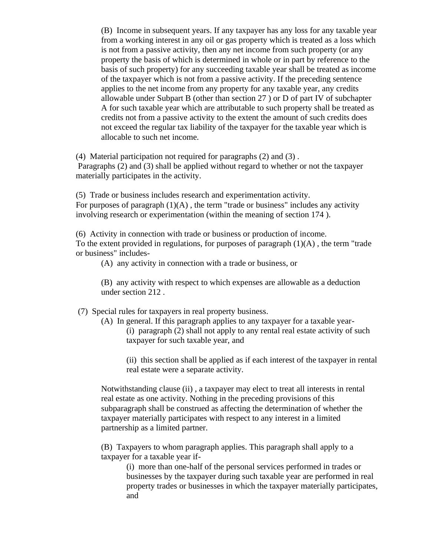(B) Income in subsequent years. If any taxpayer has any loss for any taxable year from a working interest in any oil or gas property which is treated as a loss which is not from a passive activity, then any net income from such property (or any property the basis of which is determined in whole or in part by reference to the basis of such property) for any succeeding taxable year shall be treated as income of the taxpayer which is not from a passive activity. If the preceding sentence applies to the net income from any property for any taxable year, any credits allowable under Subpart B (other than section 27 ) or D of part IV of subchapter A for such taxable year which are attributable to such property shall be treated as credits not from a passive activity to the extent the amount of such credits does not exceed the regular tax liability of the taxpayer for the taxable year which is allocable to such net income.

(4) Material participation not required for paragraphs (2) and (3) .

Paragraphs (2) and (3) shall be applied without regard to whether or not the taxpayer materially participates in the activity.

(5) Trade or business includes research and experimentation activity. For purposes of paragraph  $(1)(A)$ , the term "trade or business" includes any activity involving research or experimentation (within the meaning of section 174 ).

(6) Activity in connection with trade or business or production of income. To the extent provided in regulations, for purposes of paragraph  $(1)(A)$ , the term "trade" or business" includes-

(A) any activity in connection with a trade or business, or

(B) any activity with respect to which expenses are allowable as a deduction under section 212 .

(7) Special rules for taxpayers in real property business.

(A) In general. If this paragraph applies to any taxpayer for a taxable year- (i) paragraph (2) shall not apply to any rental real estate activity of such taxpayer for such taxable year, and

(ii) this section shall be applied as if each interest of the taxpayer in rental real estate were a separate activity.

Notwithstanding clause (ii) , a taxpayer may elect to treat all interests in rental real estate as one activity. Nothing in the preceding provisions of this subparagraph shall be construed as affecting the determination of whether the taxpayer materially participates with respect to any interest in a limited partnership as a limited partner.

(B) Taxpayers to whom paragraph applies. This paragraph shall apply to a taxpayer for a taxable year if-

(i) more than one-half of the personal services performed in trades or businesses by the taxpayer during such taxable year are performed in real property trades or businesses in which the taxpayer materially participates, and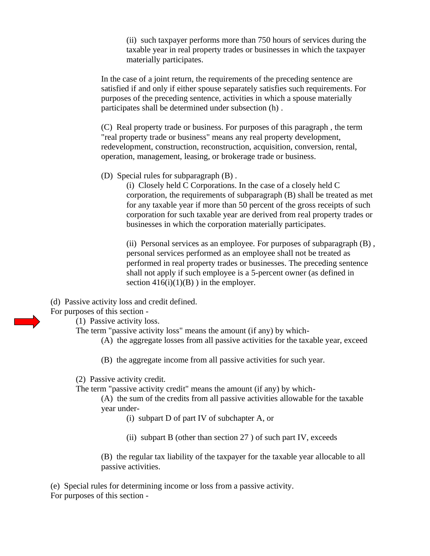(ii) such taxpayer performs more than 750 hours of services during the taxable year in real property trades or businesses in which the taxpayer materially participates.

In the case of a joint return, the requirements of the preceding sentence are satisfied if and only if either spouse separately satisfies such requirements. For purposes of the preceding sentence, activities in which a spouse materially participates shall be determined under subsection (h) .

(C) Real property trade or business. For purposes of this paragraph , the term "real property trade or business" means any real property development, redevelopment, construction, reconstruction, acquisition, conversion, rental, operation, management, leasing, or brokerage trade or business.

(D) Special rules for subparagraph (B) .

(i) Closely held C Corporations. In the case of a closely held C corporation, the requirements of subparagraph (B) shall be treated as met for any taxable year if more than 50 percent of the gross receipts of such corporation for such taxable year are derived from real property trades or businesses in which the corporation materially participates.

(ii) Personal services as an employee. For purposes of subparagraph (B) , personal services performed as an employee shall not be treated as performed in real property trades or businesses. The preceding sentence shall not apply if such employee is a 5-percent owner (as defined in section  $416(i)(1)(B)$ ) in the employer.

(d) Passive activity loss and credit defined.

For purposes of this section -

(1) Passive activity loss.

The term "passive activity loss" means the amount (if any) by which-

- (A) the aggregate losses from all passive activities for the taxable year, exceed
- (B) the aggregate income from all passive activities for such year.

(2) Passive activity credit.

The term "passive activity credit" means the amount (if any) by which-

(A) the sum of the credits from all passive activities allowable for the taxable year under-

- (i) subpart D of part IV of subchapter A, or
- (ii) subpart B (other than section 27 ) of such part IV, exceeds

(B) the regular tax liability of the taxpayer for the taxable year allocable to all passive activities.

(e) Special rules for determining income or loss from a passive activity. For purposes of this section -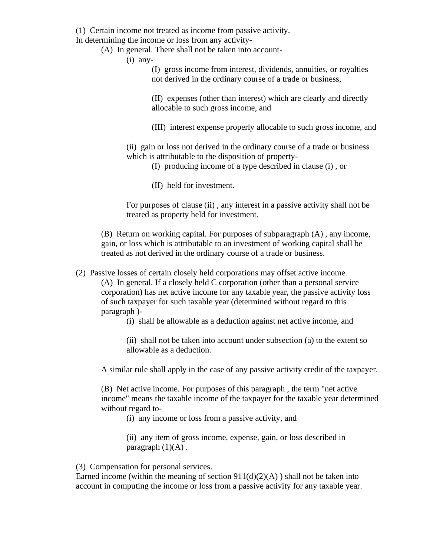(1) Certain income not treated as income from passive activity.

In determining the income or loss from any activity-

(A) In general. There shall not be taken into account-

(i) any-

(I) gross income from interest, dividends, annuities, or royalties not derived in the ordinary course of a trade or business,

(II) expenses (other than interest) which are clearly and directly allocable to such gross income, and

(III) interest expense properly allocable to such gross income, and

(ii) gain or loss not derived in the ordinary course of a trade or business which is attributable to the disposition of property-

(I) producing income of a type described in clause (i) , or

(II) held for investment.

For purposes of clause (ii) , any interest in a passive activity shall not be treated as property held for investment.

(B) Return on working capital. For purposes of subparagraph (A) , any income, gain, or loss which is attributable to an investment of working capital shall be treated as not derived in the ordinary course of a trade or business.

(2) Passive losses of certain closely held corporations may offset active income.

(A) In general. If a closely held C corporation (other than a personal service corporation) has net active income for any taxable year, the passive activity loss of such taxpayer for such taxable year (determined without regard to this paragraph )-

(i) shall be allowable as a deduction against net active income, and

(ii) shall not be taken into account under subsection (a) to the extent so allowable as a deduction.

A similar rule shall apply in the case of any passive activity credit of the taxpayer.

(B) Net active income. For purposes of this paragraph , the term "net active income" means the taxable income of the taxpayer for the taxable year determined without regard to-

(i) any income or loss from a passive activity, and

(ii) any item of gross income, expense, gain, or loss described in paragraph  $(1)(A)$ .

(3) Compensation for personal services.

Earned income (within the meaning of section  $911(d)(2)(A)$ ) shall not be taken into account in computing the income or loss from a passive activity for any taxable year.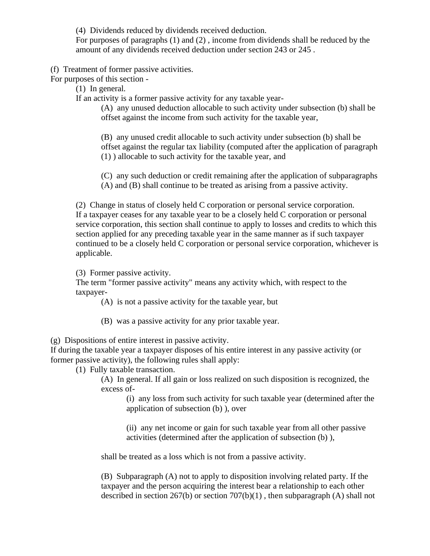(4) Dividends reduced by dividends received deduction.

For purposes of paragraphs (1) and (2) , income from dividends shall be reduced by the amount of any dividends received deduction under section 243 or 245 .

(f) Treatment of former passive activities.

For purposes of this section -

(1) In general.

If an activity is a former passive activity for any taxable year-

(A) any unused deduction allocable to such activity under subsection (b) shall be offset against the income from such activity for the taxable year,

(B) any unused credit allocable to such activity under subsection (b) shall be offset against the regular tax liability (computed after the application of paragraph (1) ) allocable to such activity for the taxable year, and

(C) any such deduction or credit remaining after the application of subparagraphs (A) and (B) shall continue to be treated as arising from a passive activity.

(2) Change in status of closely held C corporation or personal service corporation. If a taxpayer ceases for any taxable year to be a closely held C corporation or personal service corporation, this section shall continue to apply to losses and credits to which this section applied for any preceding taxable year in the same manner as if such taxpayer continued to be a closely held C corporation or personal service corporation, whichever is applicable.

(3) Former passive activity.

The term "former passive activity" means any activity which, with respect to the taxpayer-

(A) is not a passive activity for the taxable year, but

(B) was a passive activity for any prior taxable year.

(g) Dispositions of entire interest in passive activity.

If during the taxable year a taxpayer disposes of his entire interest in any passive activity (or former passive activity), the following rules shall apply:

(1) Fully taxable transaction.

(A) In general. If all gain or loss realized on such disposition is recognized, the excess of-

(i) any loss from such activity for such taxable year (determined after the application of subsection (b) ), over

(ii) any net income or gain for such taxable year from all other passive activities (determined after the application of subsection (b) ),

shall be treated as a loss which is not from a passive activity.

(B) Subparagraph (A) not to apply to disposition involving related party. If the taxpayer and the person acquiring the interest bear a relationship to each other described in section  $267(b)$  or section  $707(b)(1)$ , then subparagraph (A) shall not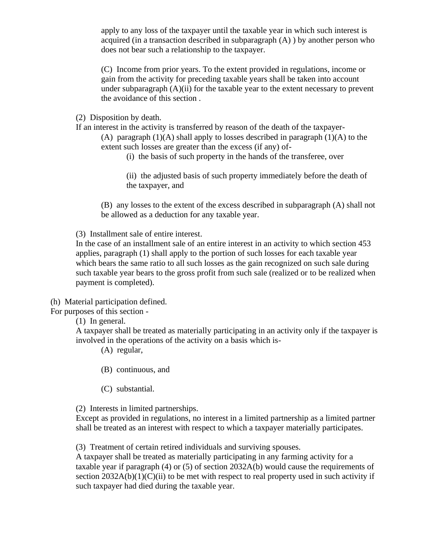apply to any loss of the taxpayer until the taxable year in which such interest is acquired (in a transaction described in subparagraph (A) ) by another person who does not bear such a relationship to the taxpayer.

(C) Income from prior years. To the extent provided in regulations, income or gain from the activity for preceding taxable years shall be taken into account under subparagraph  $(A)(ii)$  for the taxable year to the extent necessary to prevent the avoidance of this section .

(2) Disposition by death.

If an interest in the activity is transferred by reason of the death of the taxpayer-

(A) paragraph  $(1)(A)$  shall apply to losses described in paragraph  $(1)(A)$  to the extent such losses are greater than the excess (if any) of-

(i) the basis of such property in the hands of the transferee, over

(ii) the adjusted basis of such property immediately before the death of the taxpayer, and

(B) any losses to the extent of the excess described in subparagraph (A) shall not be allowed as a deduction for any taxable year.

(3) Installment sale of entire interest.

In the case of an installment sale of an entire interest in an activity to which section 453 applies, paragraph (1) shall apply to the portion of such losses for each taxable year which bears the same ratio to all such losses as the gain recognized on such sale during such taxable year bears to the gross profit from such sale (realized or to be realized when payment is completed).

(h) Material participation defined.

For purposes of this section -

(1) In general.

A taxpayer shall be treated as materially participating in an activity only if the taxpayer is involved in the operations of the activity on a basis which is-

(A) regular,

- (B) continuous, and
- (C) substantial.

(2) Interests in limited partnerships.

Except as provided in regulations, no interest in a limited partnership as a limited partner shall be treated as an interest with respect to which a taxpayer materially participates.

(3) Treatment of certain retired individuals and surviving spouses.

A taxpayer shall be treated as materially participating in any farming activity for a taxable year if paragraph (4) or (5) of section 2032A(b) would cause the requirements of section  $2032A(b)(1)(C)(ii)$  to be met with respect to real property used in such activity if such taxpayer had died during the taxable year.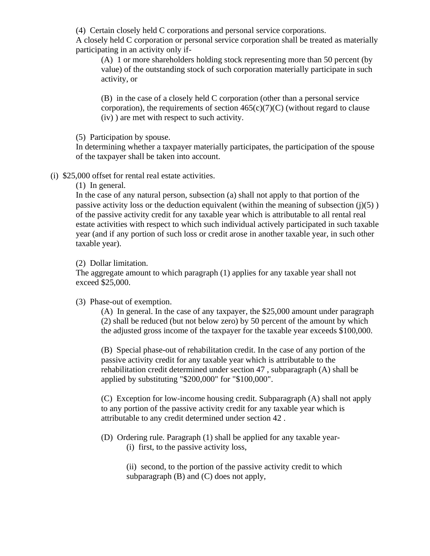(4) Certain closely held C corporations and personal service corporations.

A closely held C corporation or personal service corporation shall be treated as materially participating in an activity only if-

(A) 1 or more shareholders holding stock representing more than 50 percent (by value) of the outstanding stock of such corporation materially participate in such activity, or

(B) in the case of a closely held C corporation (other than a personal service corporation), the requirements of section  $465(c)(7)(C)$  (without regard to clause (iv) ) are met with respect to such activity.

(5) Participation by spouse.

In determining whether a taxpayer materially participates, the participation of the spouse of the taxpayer shall be taken into account.

(i) \$25,000 offset for rental real estate activities.

(1) In general.

In the case of any natural person, subsection (a) shall not apply to that portion of the passive activity loss or the deduction equivalent (within the meaning of subsection  $(j)(5)$ ) of the passive activity credit for any taxable year which is attributable to all rental real estate activities with respect to which such individual actively participated in such taxable year (and if any portion of such loss or credit arose in another taxable year, in such other taxable year).

## (2) Dollar limitation.

The aggregate amount to which paragraph (1) applies for any taxable year shall not exceed \$25,000.

(3) Phase-out of exemption.

(A) In general. In the case of any taxpayer, the \$25,000 amount under paragraph (2) shall be reduced (but not below zero) by 50 percent of the amount by which the adjusted gross income of the taxpayer for the taxable year exceeds \$100,000.

(B) Special phase-out of rehabilitation credit. In the case of any portion of the passive activity credit for any taxable year which is attributable to the rehabilitation credit determined under section 47 , subparagraph (A) shall be applied by substituting "\$200,000" for "\$100,000".

(C) Exception for low-income housing credit. Subparagraph (A) shall not apply to any portion of the passive activity credit for any taxable year which is attributable to any credit determined under section 42 .

(D) Ordering rule. Paragraph (1) shall be applied for any taxable year- (i) first, to the passive activity loss,

> (ii) second, to the portion of the passive activity credit to which subparagraph (B) and (C) does not apply,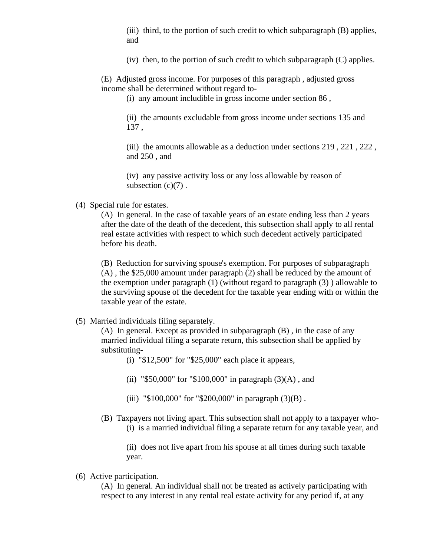(iii) third, to the portion of such credit to which subparagraph (B) applies, and

(iv) then, to the portion of such credit to which subparagraph (C) applies.

(E) Adjusted gross income. For purposes of this paragraph , adjusted gross income shall be determined without regard to-

(i) any amount includible in gross income under section 86 ,

(ii) the amounts excludable from gross income under sections 135 and 137 ,

(iii) the amounts allowable as a deduction under sections 219 , 221 , 222 , and 250 , and

(iv) any passive activity loss or any loss allowable by reason of subsection  $(c)(7)$ .

(4) Special rule for estates.

(A) In general. In the case of taxable years of an estate ending less than 2 years after the date of the death of the decedent, this subsection shall apply to all rental real estate activities with respect to which such decedent actively participated before his death.

(B) Reduction for surviving spouse's exemption. For purposes of subparagraph (A) , the \$25,000 amount under paragraph (2) shall be reduced by the amount of the exemption under paragraph (1) (without regard to paragraph (3) ) allowable to the surviving spouse of the decedent for the taxable year ending with or within the taxable year of the estate.

(5) Married individuals filing separately.

(A) In general. Except as provided in subparagraph (B) , in the case of any married individual filing a separate return, this subsection shall be applied by substituting-

(i) "\$12,500" for "\$25,000" each place it appears,

(ii) "\$50,000" for "\$100,000" in paragraph  $(3)(A)$ , and

- (iii) " $$100,000$ " for " $$200,000$ " in paragraph (3)(B).
- (B) Taxpayers not living apart. This subsection shall not apply to a taxpayer who- (i) is a married individual filing a separate return for any taxable year, and

(ii) does not live apart from his spouse at all times during such taxable year.

(6) Active participation.

(A) In general. An individual shall not be treated as actively participating with respect to any interest in any rental real estate activity for any period if, at any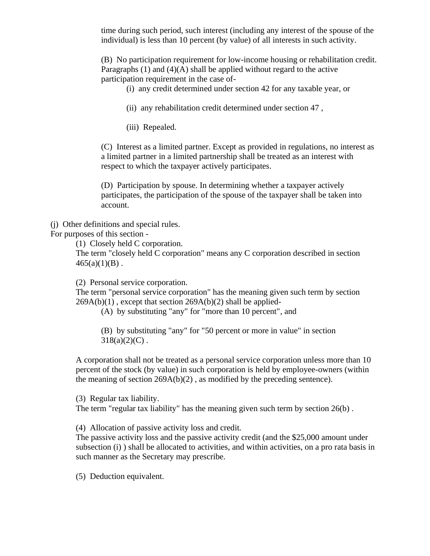time during such period, such interest (including any interest of the spouse of the individual) is less than 10 percent (by value) of all interests in such activity.

(B) No participation requirement for low-income housing or rehabilitation credit. Paragraphs (1) and (4)(A) shall be applied without regard to the active participation requirement in the case of-

(i) any credit determined under section 42 for any taxable year, or

(ii) any rehabilitation credit determined under section 47 ,

(iii) Repealed.

(C) Interest as a limited partner. Except as provided in regulations, no interest as a limited partner in a limited partnership shall be treated as an interest with respect to which the taxpayer actively participates.

(D) Participation by spouse. In determining whether a taxpayer actively participates, the participation of the spouse of the taxpayer shall be taken into account.

(j) Other definitions and special rules.

For purposes of this section -

(1) Closely held C corporation.

The term "closely held C corporation" means any C corporation described in section  $465(a)(1)(B)$ .

(2) Personal service corporation.

The term "personal service corporation" has the meaning given such term by section  $269A(b)(1)$ , except that section  $269A(b)(2)$  shall be applied-

(A) by substituting "any" for "more than 10 percent", and

(B) by substituting "any" for "50 percent or more in value" in section  $318(a)(2)(C)$ .

A corporation shall not be treated as a personal service corporation unless more than 10 percent of the stock (by value) in such corporation is held by employee-owners (within the meaning of section  $269A(b)(2)$ , as modified by the preceding sentence).

(3) Regular tax liability.

The term "regular tax liability" has the meaning given such term by section 26(b) .

(4) Allocation of passive activity loss and credit.

The passive activity loss and the passive activity credit (and the \$25,000 amount under subsection (i) ) shall be allocated to activities, and within activities, on a pro rata basis in such manner as the Secretary may prescribe.

(5) Deduction equivalent.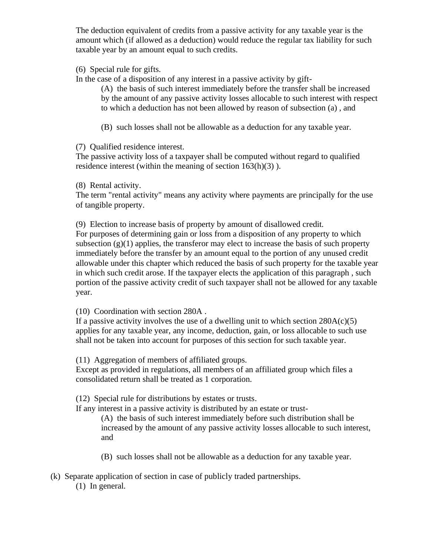The deduction equivalent of credits from a passive activity for any taxable year is the amount which (if allowed as a deduction) would reduce the regular tax liability for such taxable year by an amount equal to such credits.

(6) Special rule for gifts.

In the case of a disposition of any interest in a passive activity by gift-

(A) the basis of such interest immediately before the transfer shall be increased by the amount of any passive activity losses allocable to such interest with respect to which a deduction has not been allowed by reason of subsection (a) , and

(B) such losses shall not be allowable as a deduction for any taxable year.

(7) Qualified residence interest.

The passive activity loss of a taxpayer shall be computed without regard to qualified residence interest (within the meaning of section 163(h)(3) ).

(8) Rental activity.

The term "rental activity" means any activity where payments are principally for the use of tangible property.

(9) Election to increase basis of property by amount of disallowed credit. For purposes of determining gain or loss from a disposition of any property to which subsection  $(g)(1)$  applies, the transferor may elect to increase the basis of such property immediately before the transfer by an amount equal to the portion of any unused credit allowable under this chapter which reduced the basis of such property for the taxable year in which such credit arose. If the taxpayer elects the application of this paragraph , such portion of the passive activity credit of such taxpayer shall not be allowed for any taxable year.

(10) Coordination with section 280A .

If a passive activity involves the use of a dwelling unit to which section  $280A(c)(5)$ applies for any taxable year, any income, deduction, gain, or loss allocable to such use shall not be taken into account for purposes of this section for such taxable year.

(11) Aggregation of members of affiliated groups.

Except as provided in regulations, all members of an affiliated group which files a consolidated return shall be treated as 1 corporation.

(12) Special rule for distributions by estates or trusts.

If any interest in a passive activity is distributed by an estate or trust-

(A) the basis of such interest immediately before such distribution shall be increased by the amount of any passive activity losses allocable to such interest, and

(B) such losses shall not be allowable as a deduction for any taxable year.

(k) Separate application of section in case of publicly traded partnerships.

(1) In general.